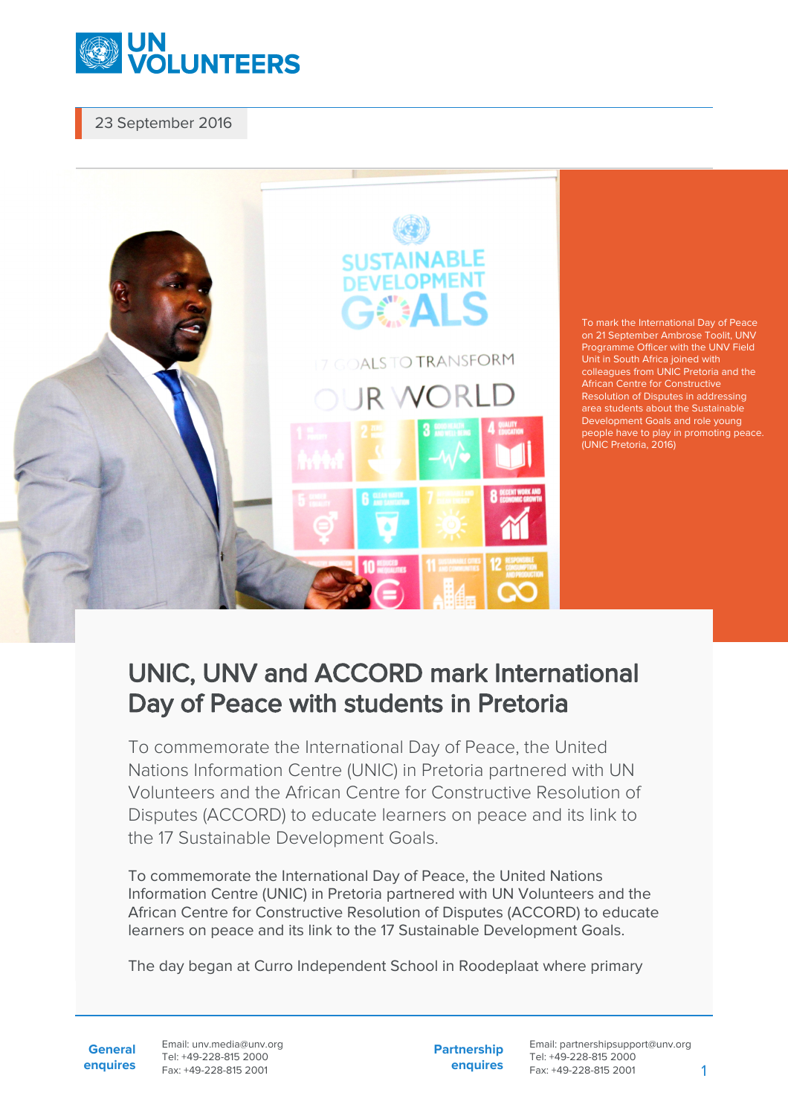

23 September 2016



## UNIC, UNV and ACCORD mark International Day of Peace with students in Pretoria

To commemorate the International Day of Peace, the United Nations Information Centre (UNIC) in Pretoria partnered with UN Volunteers and the African Centre for Constructive Resolution of Disputes (ACCORD) to educate learners on peace and its link to the 17 Sustainable Development Goals.

To commemorate the International Day of Peace, the United Nations Information Centre (UNIC) in Pretoria partnered with UN Volunteers and the African Centre for Constructive Resolution of Disputes (ACCORD) to educate learners on peace and its link to the 17 Sustainable Development Goals.

The day began at Curro Independent School in Roodeplaat where primary

**General enquires** Email: unv.media@unv.org Tel: +49-228-815 2000 Fax: +49-228-815 2001

**Partnership enquires** Email: partnershipsupport@unv.org Tel: +49-228-815 2000 Fax: +49-228-815 2001 1